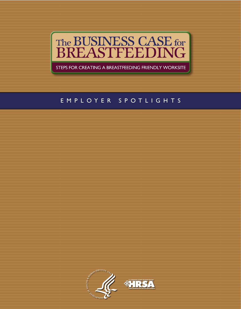

STEPS FOR CREATING A BREASTFEEDING FRIENDLY WORKSITE

## EMPLOYER SPOTLIGHTS

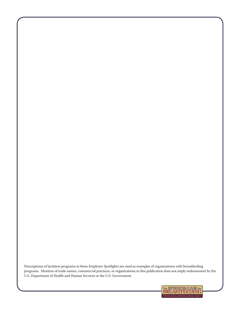Descriptions of lactation programs in these Employer Spotlights are used as examples of organizations with breastfeeding programs. Mention of trade names, commercial practices, or organizations in this publication does not imply endorsement by the U.S. Department of Health and Human Services or the U.S. Government.

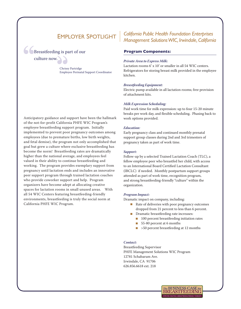### **Breastfeeding is part of our**

culture now.

Chrissy Partridge Employee Perinatal Support Coordinator

#### Anticipatory guidance and support have been the hallmark of the not-for-profit California PHFE WIC Program's employee breastfeeding support program. Initially implemented to prevent poor pregnancy outcomes among employees (due to premature births, low birth weights, and fetal demise), the program not only accomplished that goal but grew a culture where exclusive breastfeeding has become the norm! Breastfeeding rates are dramatically higher than the national average, and employees feel valued in their ability to continue breastfeeding and working. The program provides exemplary support from pregnancy until lactation ends and includes an innovative peer support program through trained lactation coaches who provide coworker support and help. Program organizers have become adept at allocating creative spaces for lactation rooms in small unused areas. With all 54 WIC Centers featuring breastfeeding-friendly environments, breastfeeding is truly the social norm at California PHFE WIC Program.

## EmployEr Spotlight *California Public Health Foundation Enterprises Management Solutions WIC, Irwindale, California*

#### **Program Components:**

#### *Private Area to Express Milk:*

Lactation rooms 6' x 10' or smaller in all 54 WIC centers. Refrigerators for storing breast milk provided in the employee kitchen.

#### *Breastfeeding Equipment:*

Electric pump available in all lactation rooms; free provision of attachment kits.

#### *Milk Expression Scheduling:*

Paid work time for milk expression: up to four 15-20 minute breaks per work day, and flexible scheduling. Phasing back to work options provided.

#### *Education:*

Early pregnancy class and continued monthly prenatal support group classes during 2nd and 3rd trimesters of pregnancy taken as part of work time.

#### *Support:*

Follow-up by a selected Trained Lactation Coach (TLC), a fellow employee peer who breastfed her child, with access to an International Board Certified Lactation Consultant (IBCLC) if needed. Monthly postpartum support groups attended as part of work time, recognition program, and strong breastfeeding-friendly "culture" within the organization.

#### *Program Impact:*

Dramatic impact on company, including:

- Rate of deliveries with poor pregnancy outcomes dropped from 21 percent to less than 6 percent.
- Dramatic breastfeeding rate increases:
	- 100 percent breastfeeding initiation rates
	- 55-80 percent at 6 months
	- >50 percent breastfeeding at 12 months

#### *Contact:*

Breastfeeding Supervisor PHFE Management Solutions WIC Program 12781 Schabarum Ave. Irwindale, CA 91706 626.856.6618 ext. 218

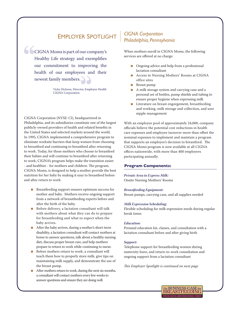# EmployEr Spotlight *CIGNA Corporation*

í  $\bigcirc$ CIGNA Moms is part of our company's Healthy Life strategy and exemplifies our commitment to improving the health of our employees and their newest family members.

> Vicky Dickson, Director, Employee Health CIGNA Corporation

CIGNA Corporation (NYSE: CI), headquartered in Philadelphia, and its subsidiaries constitute one of the largest publicly-owned providers of health and related benefits in the United States and selected markets around the world. In 1995, CIGNA implemented a comprehensive program to eliminate worksite barriers that keep women from choosing to breastfeed and continuing to breastfeed after returning to work. Today, for those mothers who choose to breastfeed their babies and will continue to breastfeed after returning to work, CIGNA's program helps make the transition easier - and healthier - for mothers and children. The program, CIGNA Moms, is designed to help a mother provide the best nutrition for her baby by making it easy to breastfeed before and after return to work.

- Breastfeeding support ensures optimum success for mother and baby. Mothers receive ongoing support from a network of breastfeeding experts before and after the birth of the baby.
- Before delivery, a lactation consultant will talk **COL** with mothers about what they can do to prepare for breastfeeding and what to expect when the baby arrives.
- After the baby arrives, during a mother's short-term disability, a lactation consultant will contact mothers at home to answer questions, talk about a healthy nursing diet, discuss proper breast care, and help mothers prepare to return to work while continuing to nurse.
- Before mothers return to work, a consultant will teach them how to properly store milk, give tips on maintaining milk supply, and demonstrate the use of the breast pump.
- After mothers return to work, during the next six months, a consultant will contact mothers every few weeks to answer questions and ensure they are doing well.

# *Philadelphia, Pennsylvania*

When mothers enroll in CIGNA Moms, the following services are offered at no charge:

- Ongoing advice and help from a professional lactation consultant
- Access to Nursing Mothers' Rooms at CIGNA office sites
- Breast pump
- A milk storage system and carrying case and a personal set of bottles, pump shields and tubing to ensure proper hygiene when expressing milk
- Literature on breast engorgement, breastfeeding and working, milk storage and collection, and sore nipple management

With an employee pool of approximately 24,000, company officials believe the potential cost reductions in health care expenses and employee turnover more than offset the nominal expenses to implement and maintain a program that supports an employee's decision to breastfeed. The CIGNA Moms program is now available at all CIGNA offices nationwide, with more than 400 employees participating annually.

#### **Program Components:**

*Private Area to Express Milk:* Onsite Nursing Mothers' Rooms

#### *Breastfeeding Equipment:*

Breast pumps, carrying case, and all supplies needed

#### *Milk Expression Scheduling:*

Flexible scheduling for milk expression needs during regular break times

#### *Education:*

Prenatal education kit, classes, and consultation with a lactation consultant before and after giving birth

#### *Support:*

Telephone support for breastfeeding women during maternity leave, and return-to-work consultation and ongoing support from a lactation consultant

*This Employer Spotlight is continued on next page*

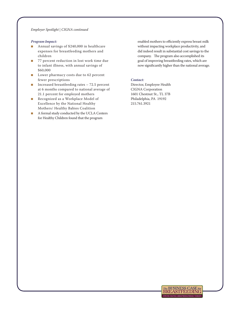#### *Employer Spotlight | CIGNA continued*

#### *Program Impact:*

- Annual savings of \$240,000 in healthcare expenses for breastfeeding mothers and children
- 77 percent reduction in lost work time due to infant illness, with annual savings of \$60,000
- Lower pharmacy costs due to 62 percent fewer prescriptions
- Increased breastfeeding rates  $-72.5$  percent at 6 months compared to national average of 21.1 percent for employed mothers
- Recognized as a Workplace Model of Excellence by the National Healthy Mothers/ Healthy Babies Coalition
- A formal study conducted by the UCLA Centers for Healthy Children found that the program

enabled mothers to efficiently express breast milk without impacting workplace productivity, and did indeed result in substantial cost savings to the company. The program also accomplished its goal of improving breastfeeding rates, which are now significantly higher than the national average.

#### *Contact:*

Director, Employee Health CIGNA Corporation 1601 Chestnut St., TL 37B Philadelphia, PA 19192 215.761.3921

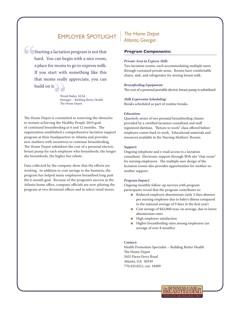build on it. Starting a lactation program is not that hard. You can begin with a nice room, a place for moms to go to express milk. If you start with something like this that moms really appreciate, you can

> Wendi Bailey, M.Ed. Manager – Building Better Health The Home Depot

The Home Depot is committed to removing the obstacles to women achieving the Healthy People 2010 goal of continued breastfeeding at 6 and 12 months. The organization established a comprehensive lactation support program at their headquarters in Atlanta and provides new mothers with incentives to continue breastfeeding. The Home Depot subsidizes the cost of a personal electric breast pump for each employee who breastfeeds; the longer she breastfeeds, the higher her rebate.

Data collected by the company show that the efforts are working. In addition to cost savings to the business, the program has helped many employees breastfeed long past the 6-month goal. Because of the program's success at the Atlanta home office, company officials are now piloting the program at two divisional offices and in select retail stores.

### *The Home Depot Atlanta, Georgia*

#### **Program Components:**

#### *Private Area to Express Milk:*

Two lactation rooms, each accommodating multiple users through curtained private areas. Rooms have comfortable chairs, sink, and refrigerator for storing breast milk.

#### *Breastfeeding Equipment:*

The cost of a personal portable electric breast pump is subsidized.

#### *Milk Expression Scheduling:*

Breaks scheduled as part of routine breaks.

#### *Education:*

Quarterly series of two prenatal breastfeeding classes provided by a certified lactation consultant and staff registered dietitian. "Return to work" class offered before employee comes back to work. Educational materials and resources available in the Nursing Mothers' Rooms.

#### *Support:*

Ongoing telephone and e-mail access to a lactation consultant. Electronic support through Web site "chat room" for nursing employees. The multiple user design of the lactation rooms also provides opportunities for mother-tomother support.

#### *Program Impact:*

Ongoing monthly follow-up surveys with program participants reveal that the program contributes to:

- Reduced employee absenteeism (only 3 days absence per nursing employee due to baby's illness compared to the national average of 9 days in the first year)
- Cost savings of \$42,000/year, on average, due to lower absenteeism rates
- High employee satisfaction
- Higher breastfeeding rates among employees (an average of over 8 months)

#### *Contact:*

Health Promotion Specialist – Building Better Health The Home Depot 2455 Paces Ferry Road Atlanta, GA 30339 770.433.8211, ext. 18489

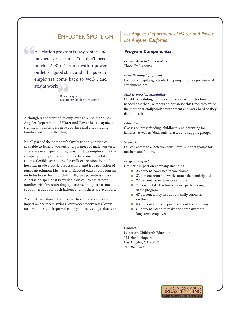stay at work! A lactation program is easy to start and inexpensive to run. You don't need much. A 3' x 4' room with a power outlet is a good start, and it helps your employees come back to work…and

> Renee Sicignano Lactation/Childbirth Educator

Although 80 percent of its employees are male, the Los Angeles Department of Water and Power has recognized significant benefits from supporting and encouraging families with breastfeeding.

It's all part of the company's family friendly initiative available to female workers and partners of male workers. There are even special programs for dads employed by the company. The program includes three onsite lactation rooms, flexible scheduling for milk expression, loan of a hospital-grade electric breast pump, and free provision of pump attachment kits. A multifaceted education program includes breastfeeding, childbirth, and parenting classes. A lactation specialist is available on call to assist new families with breastfeeding questions, and postpartum support groups for both fathers and mothers are available.

A formal evaluation of the program has found a significant impact on healthcare savings, lower absenteeism rates, lower turnover rates, and improved employee loyalty and productivity.

## *Los Angeles Department of Water and Power Los Angeles, California*

#### **Program Components:**

*Private Area to Express Milk:* Three 3'x 8' rooms.

#### *Breastfeeding Equipment:*

Loan of a hospital-grade electric pump and free provision of attachment kits.

#### *Milk Expression Scheduling:*

Flexible scheduling for milk expression, with extra time needed absorbed. Mothers do not abuse this time; they value the mother-friendly work environment and work hard so they do not lose it.

#### *Education:*

Classes on breastfeeding, childbirth, and parenting for families, as well as "dads only" classes and support groups.

#### *Support:*

On-call access to a lactation consultant; support groups for mothers and fathers.

#### *Program Impact:*

Dramatic impact on company, including:

- 35 percent lower healthcare claims
- 33 percent return to work sooner than anticipated
- 27 percent lower absenteeism rates
- 71 percent take less time off since participating in the program
- 67 percent worry less about family concerns on the job
- 83 percent are more positive about the company;
- 67 percent intend to make the company their long-term employer

#### *Contact:*

Lactation/Childbirth Educator 111 North Hope St. Los Angeles, CA 90012 213.367.3549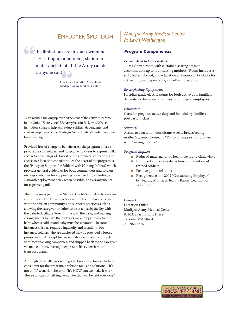The limitations are in your own mind. Try setting up a pumping station in a military field tent! If the Army can do it, anyone can!

> Lisa Jones, Lactation Consultant Madigan Army Medical Center

With women making up over 20 percent of the active duty force in the United States, one U.S. Army base in Ft. Lewis, WA set in motion a plan to help active duty soldiers, dependents, and civilian employees of the Madigan Army Medical Center continue breastfeeding.

Provided free of charge to beneficiaries, the program offers a private area for soldiers and hospital employees to express milk, access to hospital-grade breast pumps, prenatal education, and access to a lactation consultant. At the heart of the program is the "Policy on Support for Soldiers with Nursing Infants," which provides general guidelines for both commanders and soldiers on responsibilities for supporting breastfeeding, including a 4-month deployment delay when possible, and arrangements for expressing milk.

The program is part of the Medical Center's initiative to improve and support obstetrical practices within the military on a par with the civilian community, and supports practices such as allowing the caregiver or father to be at a nearby facility with the baby to facilitate "touch" time with the baby, and making arrangements to have the mother's milk shipped back to the baby when a soldier and baby must be separated. In some instances this has required ingenuity and creativity. For instance, soldiers who are deployed may be provided a breast pump, and milk is kept frozen with dry ice through contracts with meat packing companies, and shipped back to the caregiver via mail couriers, overnight express delivery services, and transport planes.

Although the challenges seem great, Lisa Jones, former lactation consultant for the program, prefers to focus on solutions. "It's not an 'if' scenario," she says. "It's HOW can we make it work. There's always something we can do that will benefit everyone."

## EmployEr Spotlight *Madigan Army Medical Center Ft. Lewis, Washington*

#### **Program Components:**

#### *Private Area to Express Milk:*

14' x 14' sized room with curtained seating areas to accommodate up to four nursing mothers. Room includes a sink, bulletin board, and educational resources. Available for active duty and dependents, as well as hospital staff.

#### *Breastfeeding Equipment:*

Hospital-grade electric pump for both active duty families, dependents, beneficiary families, and hospital employees.

#### *Education:*

Class for pregnant active duty and beneficiary families; postpartum class.

#### *Support:*

Access to a lactation consultant; weekly breastfeeding mother's group; Command "Policy on Support for Soldiers with Nursing Infants."

#### *Program Impact:*

- Reduced maternal-child health costs and clinic visits
- Improved employee satisfaction and retention of trained soldiers
- Positive public relations
- Recognized as the 2004 "Outstanding Employer" by Healthy Mothers/Healthy Babies Coalition of Washington

#### *Contact:*

Lactation Office Madigan Army Medical Center 9040A Fitzsimmons Drive Tacoma, WA 98431 253.968.2774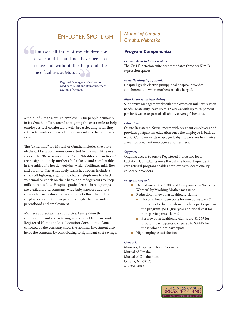# EmployEr Spotlight *Mutual of Omaha*

 nice facilities at Mutual. I nursed all three of my children for a year and I could not have been so successful without the help and the

> Regional Manager – West Region Medicare Audit and Reimbursement Mutual of Omaha

Mutual of Omaha, which employs 4,600 people primarily in its Omaha office, found that going the extra mile to help employees feel comfortable with breastfeeding after they return to work can provide big dividends to the company, as well.

The "extra mile" for Mutual of Omaha includes two stateof-the-art lactation rooms converted from small, little used areas. The "Renaissance Room" and "Mediterranean Room" are designed to help mothers feel relaxed and comfortable in the midst of a hectic workday, which facilitates milk flow and volume. The attractively furnished rooms include a sink, soft lighting, ergonomic chairs, telephones to check voicemail or check on their baby, and refrigerators to keep milk stored safely. Hospital-grade electric breast pumps are available, and company-wide baby showers add to a comprehensive education and support effort that helps employees feel better prepared to juggle the demands of parenthood and employment.

Mothers appreciate the supportive, family-friendly environment and access to ongoing support from an onsite Registered Nurse and local Lactation Consultants. Data collected by the company show the nominal investment also helps the company by contributing to significant cost savings.

# *Omaha, Nebraska*

#### **Program Components:**

#### *Private Area to Express Milk:*

The 9'x 11' lactation suite accommodates three 4'x 5' milk expression spaces.

#### *Breastfeeding Equipment:*

Hospital-grade electric pump; local hospital provides attachment kits when mothers are discharged.

#### *Milk Expression Scheduling:*

Supportive managers work with employees on milk expression needs. Maternity leave up to 12 weeks, with up to 70 percent pay for 6 weeks as part of "disability coverage" benefits.

#### *Education:*

Onsite Registered Nurse meets with pregnant employees and provides postpartum education once the employee is back at work. Company-wide employee baby showers are held twice a year for pregnant employees and partners.

#### *Support:*

Ongoing access to onsite Registered Nurse and local Lactation Consultants once the baby is born. Dependent care referral program enables employees to locate quality childcare providers.

#### *Program Impact:*

- Named one of the "100 Best Companies for Working Women" by Working Mother magazine.
- Reduction in newborn healthcare claims
	- Hospital healthcare costs for newborns are 2.7 times less for babies whose mothers participate in the program. (\$115,881/year additional cost for non-participants' claims)
	- Per newborn healthcare claims are \$1,269 for program participants compared to \$3,415 for those who do not participate
- High employee satisfaction

#### *Contact:*

Manager, Employee Health Services Mutual of Omaha Mutual of Omaha Plaza Omaha, NE 68175 402.351.2089

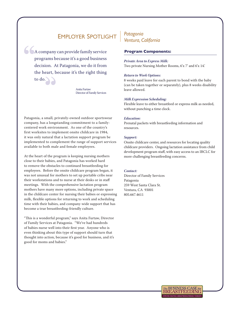## EmployEr Spotlight *Patagonia*

A company can provide family service programs because it's a good business decision. At Patagonia, we do it from the heart, because it's the right thing to do.

> Anita Furtaw Director of Family Services

Patagonia, a small, privately-owned outdoor sportswear company, has a longstanding commitment to a familycentered work environment. As one of the country's first worksites to implement onsite childcare in 1984, it was only natural that a lactation support program be implemented to complement the range of support services available to both male and female employees.

At the heart of the program is keeping nursing mothers close to their babies, and Patagonia has worked hard to remove the obstacles to continued breastfeeding for employees. Before the onsite childcare program began, it was not unusual for mothers to set up portable cribs near their workstations and to nurse at their desks or in staff meetings. With the comprehensive lactation program mothers have many more options, including private space in the childcare center for nursing their babies or expressing milk, flexible options for returning to work and scheduling time with their babies, and company-wide support that has become a true breastfeeding-friendly culture.

"This is a wonderful program," says Anita Furtaw, Director of Family Services at Patagonia. "We've had hundreds of babies nurse well into their first year. Anyone who is even thinking about this type of support should turn that thought into action, because it's good for business, and it's good for moms and babies."

# *Ventura, California*

#### **Program Components:**

#### *Private Area to Express Milk:*

Two private Nursing Mother Rooms, 6'x 7' and 6'x 14.'

#### *Return to Work Options:*

8 weeks paid leave for each parent to bond with the baby (can be taken together or separately), plus 8 weeks disability leave allowed.

#### *Milk Expression Scheduling:*

Flexible leave to either breastfeed or express milk as needed, without punching a time clock.

#### *Education:*

Prenatal packets with breastfeeding information and resources.

#### *Support:*

Onsite childcare center, and resources for locating quality childcare providers. Ongoing lactation assistance from child development program staff, with easy access to an IBCLC for more challenging breastfeeding concerns.

#### *Contact:*

Director of Family Services Patagonia 259 West Santa Clara St. Ventura, CA 93001 805.667.4611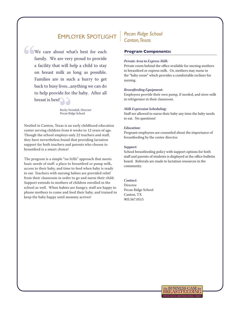# EmployEr Spotlight *Pecan Ridge School*

We care about what's best for each family. We are very proud to provide a facility that will help a child to stay on breast milk as long as possible. Families are in such a hurry to get back to busy lives...anything we can do to help provide for the baby. After all breast is best!

> Becky Swindall, Director Pecan Ridge School

Nestled in Canton, Texas is an early childhood education center serving children from 6 weeks to 12 years of age. Though the school employs only 22 teachers and staff, they have nevertheless found that providing lactation support for both teachers and parents who choose to breastfeed is a smart choice!

The program is a simple "no frills" approach that meets basic needs of staff: a place to breastfeed or pump milk, access to their baby, and time to feed when baby is ready to eat. Teachers with nursing babies are provided relief from their classroom in order to go and nurse their child. Support extends to mothers of children enrolled in the school as well. When babies are hungry, staff are happy to phone mothers to come and feed their baby, and trained to keep the baby happy until mommy arrives!

# *Canton, Texas*

#### **Program Components:**

#### *Private Area to Express Milk:*

Private room behind the office available for nursing mothers to breastfeed or express milk. Or, mothers may nurse in the "baby room" which provides a comfortable recliner for nursing.

#### *Breastfeeding Equipment:*

Employees provide their own pump, if needed, and store milk in refrigerator in their classroom.

#### *Milk Expression Scheduling:*

Staff are allowed to nurse their baby any time the baby needs to eat. No questions!

#### *Education:*

Pregnant employees are counseled about the importance of breastfeeding by the center director.

#### *Support:*

School breastfeeding policy with support options for both staff and parents of students is displayed at the office bulletin board. Referrals are made to lactation resources in the community.

#### *Contact:*

Director Pecan Ridge School Canton, TX 903.567.0515

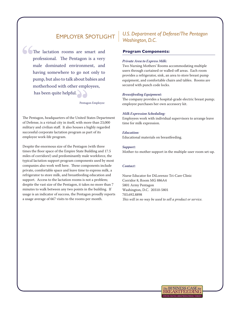í The lactation rooms are smart and professional. The Pentagon is a very male dominated environment, and having somewhere to go not only to pump, but also to talk about babies and motherhood with other employees, has been quite helpful.

Pentagon Employee

The Pentagon, headquarters of the United States Department of Defense, is a virtual city in itself, with more than 23,000 military and civilian staff. It also houses a highly regarded successful corporate lactation program as part of its employee work-life program.

Despite the enormous size of the Pentagon (with three times the floor space of the Empire State Building and 17.5 miles of corridors!) and predominantly male workforce, the typical lactation support program components used by most companies also work well here. These components include private, comfortable space and leave time to express milk, a refrigerator to store milk, and breastfeeding education and support. Access to the lactation rooms is not a problem; despite the vast size of the Pentagon, it takes no more than 7 minutes to walk between any two points in the building. If usage is an indicator of success, the Pentagon proudly reports a usage average of 667 visits to the rooms per month.

### *U.S. Department of Defense/The Pentagon Washington, D.C.*

#### **Program Components:**

#### *Private Area to Express Milk:*

Two Nursing Mothers' Rooms accommodating multiple users through curtained or walled-off areas. Each room provides a refrigerator, sink, an area to store breast pump equipment, and comfortable chairs and tables. Rooms are secured with punch code locks.

#### *Breastfeeding Equipment:*

The company provides a hospital-grade electric breast pump; employee purchases her own accessory kit.

#### *Milk Expression Scheduling:*

Employees work with individual supervisors to arrange leave time for milk expression.

#### *Education:*

Educational materials on breastfeeding.

#### *Support:*

Mother-to-mother support in the multiple-user room set-up.

#### *Contact:*

Nurse Educator for DiLorenzo Tri-Care Clinic Corridor 8, Room MG 886A4 5801 Army Pentagon Washington, D.C. 20310-5801 703.692.8898 *This will in no way be used to sell a product or service.*

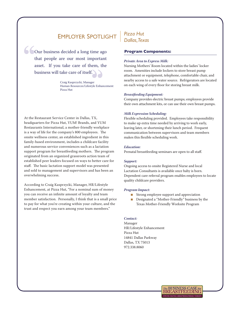. business will take care of itself Our business decided a long time ago that people are our most important asset. If you take care of them, the

> Craig Kasprzycki, Manager Human Resources/Lifestyle Enhancement Pizza Hut

At the Restaurant Service Center in Dallas, TX, headquarters for Pizza Hut, YUM! Brands, and YUM Restaurants International, a mother-friendly workplace is a way of life for the company's 800 employees. The onsite wellness center, an established ingredient in this family-based environment, includes a childcare facility and numerous service conveniences such as a lactation support program for breastfeeding mothers. The program originated from an organized grassroots action team of established peer leaders focused on ways to better care for staff. The basic lactation support model was presented and sold to management and supervisors and has been an overwhelming success.

According to Craig Kasprzycki, Manager, HR/Lifestyle Enhancement, at Pizza Hut, "For a nominal sum of money you can receive an infinite amount of loyalty and team member satisfaction. Personally, I think that is a small price to pay for what you're creating within your culture, and the trust and respect you earn among your team members."

### *Pizza Hut Dallas, Texas*

#### **Program Components:**

#### *Private Area to Express Milk:*

Nursing Mothers' Room located within the ladies' locker room. Amenities include lockers to store breast pump attachment or equipment, telephone, comfortable chair, and nearby access to a safe water source. Refrigerators are located on each wing of every floor for storing breast milk.

#### *Breastfeeding Equipment:*

Company provides electric breast pumps; employees provide their own attachment kits, or can use their own breast pumps.

#### *Milk Expression Scheduling:*

Flexible scheduling provided. Employees take responsibility to make up extra time needed by arriving to work early, leaving later, or shortening their lunch period. Frequent communication between supervisors and team members makes this flexible scheduling work.

#### *Education:*

Prenatal breastfeeding seminars are open to all staff.

#### *Support:*

Ongoing access to onsite Registered Nurse and local Lactation Consultants is available once baby is born. Dependent care referral program enables employees to locate quality childcare providers.

#### *Program Impact:*

- Strong employee support and appreciation
- Designated a "Mother-Friendly" business by the Texas Mother-Friendly Worksite Program

#### *Contact:*

Manager HR/Lifestyle Enhancement Pizza Hut 14841 Dallas Parkway Dallas, TX 75013 972.338.8060